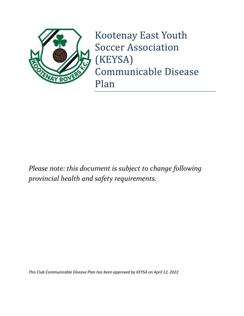

Kootenay East Youth Soccer Association (KEYSA) Communicable Disease Plan

*Please note: this document is subject to change following provincial health and safety requirements.* 

*This Club Communicable Disease Plan has been approved by KEYSA on April 12, 2022*